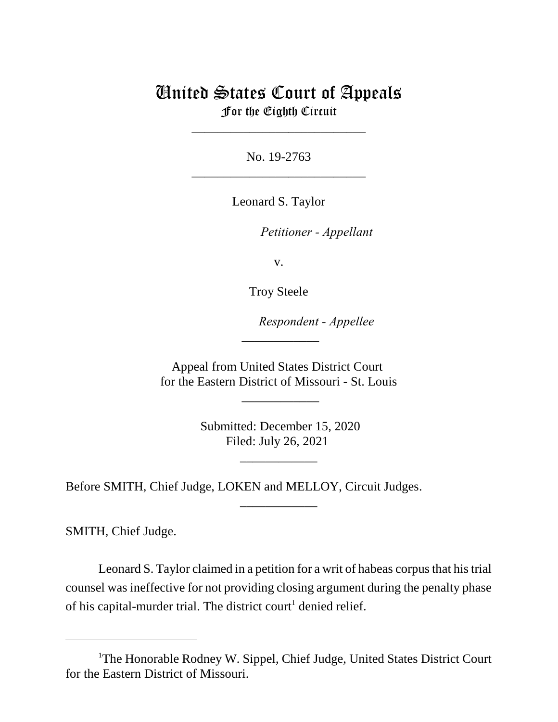# United States Court of Appeals For the Eighth Circuit

\_\_\_\_\_\_\_\_\_\_\_\_\_\_\_\_\_\_\_\_\_\_\_\_\_\_\_

No. 19-2763 \_\_\_\_\_\_\_\_\_\_\_\_\_\_\_\_\_\_\_\_\_\_\_\_\_\_\_

Leonard S. Taylor

*Petitioner - Appellant* 

v.

Troy Steele

lllllllllllllllllllll*Respondent - Appellee*

Appeal from United States District Court for the Eastern District of Missouri - St. Louis

 $\overline{\phantom{a}}$ 

\_\_\_\_\_\_\_\_\_\_\_\_

 Submitted: December 15, 2020 Filed: July 26, 2021

\_\_\_\_\_\_\_\_\_\_\_\_

\_\_\_\_\_\_\_\_\_\_\_\_

Before SMITH, Chief Judge, LOKEN and MELLOY, Circuit Judges.

SMITH, Chief Judge.

Leonard S. Taylor claimed in a petition for a writ of habeas corpus that his trial counsel was ineffective for not providing closing argument during the penalty phase of his capital-murder trial. The district court<sup>1</sup> denied relief.

<sup>&</sup>lt;sup>1</sup>The Honorable Rodney W. Sippel, Chief Judge, United States District Court for the Eastern District of Missouri.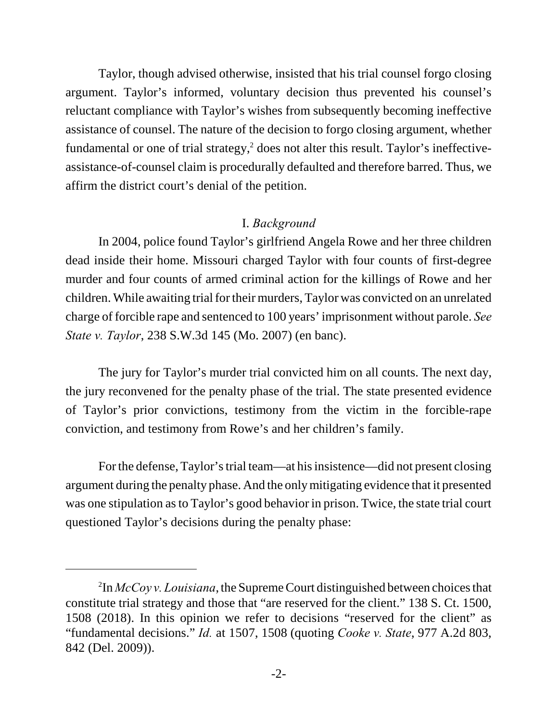Taylor, though advised otherwise, insisted that his trial counsel forgo closing argument. Taylor's informed, voluntary decision thus prevented his counsel's reluctant compliance with Taylor's wishes from subsequently becoming ineffective assistance of counsel. The nature of the decision to forgo closing argument, whether fundamental or one of trial strategy, $2$  does not alter this result. Taylor's ineffectiveassistance-of-counsel claim is procedurally defaulted and therefore barred. Thus, we affirm the district court's denial of the petition.

#### I. *Background*

In 2004, police found Taylor's girlfriend Angela Rowe and her three children dead inside their home. Missouri charged Taylor with four counts of first-degree murder and four counts of armed criminal action for the killings of Rowe and her children. While awaiting trial for their murders, Taylor was convicted on an unrelated charge of forcible rape and sentenced to 100 years' imprisonment without parole. *See State v. Taylor*, 238 S.W.3d 145 (Mo. 2007) (en banc).

The jury for Taylor's murder trial convicted him on all counts. The next day, the jury reconvened for the penalty phase of the trial. The state presented evidence of Taylor's prior convictions, testimony from the victim in the forcible-rape conviction, and testimony from Rowe's and her children's family.

For the defense, Taylor's trial team—at his insistence—did not present closing argument during the penalty phase. And the only mitigating evidence that it presented was one stipulation as to Taylor's good behavior in prison. Twice, the state trial court questioned Taylor's decisions during the penalty phase:

<sup>2</sup> In *McCoy v. Louisiana*, the Supreme Court distinguished between choices that constitute trial strategy and those that "are reserved for the client." 138 S. Ct. 1500, 1508 (2018). In this opinion we refer to decisions "reserved for the client" as "fundamental decisions." *Id.* at 1507, 1508 (quoting *Cooke v. State*, 977 A.2d 803, 842 (Del. 2009)).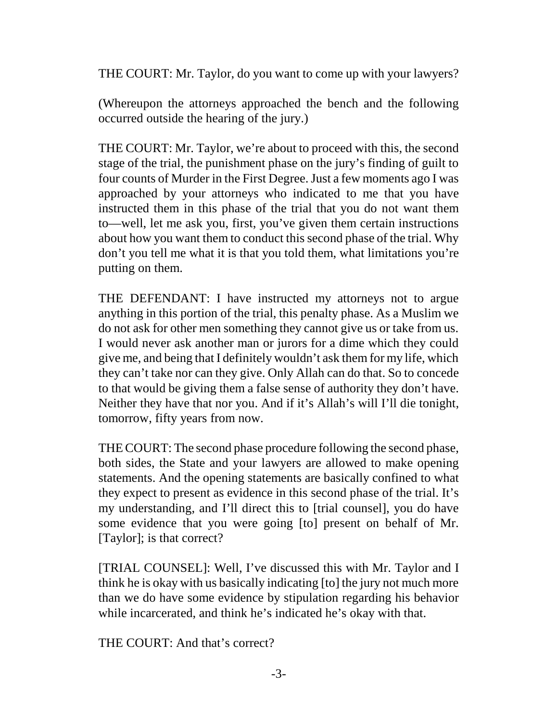THE COURT: Mr. Taylor, do you want to come up with your lawyers?

(Whereupon the attorneys approached the bench and the following occurred outside the hearing of the jury.)

THE COURT: Mr. Taylor, we're about to proceed with this, the second stage of the trial, the punishment phase on the jury's finding of guilt to four counts of Murder in the First Degree. Just a few moments ago I was approached by your attorneys who indicated to me that you have instructed them in this phase of the trial that you do not want them to—well, let me ask you, first, you've given them certain instructions about how you want them to conduct this second phase of the trial. Why don't you tell me what it is that you told them, what limitations you're putting on them.

THE DEFENDANT: I have instructed my attorneys not to argue anything in this portion of the trial, this penalty phase. As a Muslim we do not ask for other men something they cannot give us or take from us. I would never ask another man or jurors for a dime which they could give me, and being that I definitely wouldn't ask them for my life, which they can't take nor can they give. Only Allah can do that. So to concede to that would be giving them a false sense of authority they don't have. Neither they have that nor you. And if it's Allah's will I'll die tonight, tomorrow, fifty years from now.

THE COURT: The second phase procedure following the second phase, both sides, the State and your lawyers are allowed to make opening statements. And the opening statements are basically confined to what they expect to present as evidence in this second phase of the trial. It's my understanding, and I'll direct this to [trial counsel], you do have some evidence that you were going [to] present on behalf of Mr. [Taylor]; is that correct?

[TRIAL COUNSEL]: Well, I've discussed this with Mr. Taylor and I think he is okay with us basically indicating [to] the jury not much more than we do have some evidence by stipulation regarding his behavior while incarcerated, and think he's indicated he's okay with that.

THE COURT: And that's correct?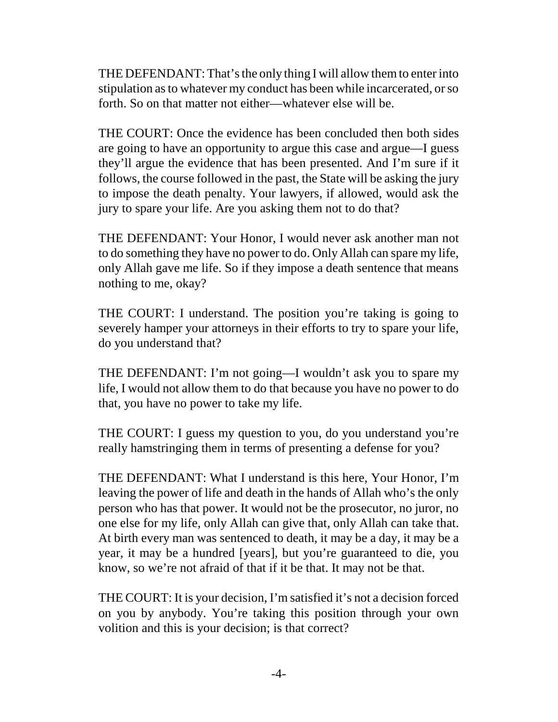THE DEFENDANT: That's the only thing I will allow them to enter into stipulation as to whatever my conduct has been while incarcerated, or so forth. So on that matter not either—whatever else will be.

THE COURT: Once the evidence has been concluded then both sides are going to have an opportunity to argue this case and argue—I guess they'll argue the evidence that has been presented. And I'm sure if it follows, the course followed in the past, the State will be asking the jury to impose the death penalty. Your lawyers, if allowed, would ask the jury to spare your life. Are you asking them not to do that?

THE DEFENDANT: Your Honor, I would never ask another man not to do something they have no power to do. Only Allah can spare my life, only Allah gave me life. So if they impose a death sentence that means nothing to me, okay?

THE COURT: I understand. The position you're taking is going to severely hamper your attorneys in their efforts to try to spare your life, do you understand that?

THE DEFENDANT: I'm not going—I wouldn't ask you to spare my life, I would not allow them to do that because you have no power to do that, you have no power to take my life.

THE COURT: I guess my question to you, do you understand you're really hamstringing them in terms of presenting a defense for you?

THE DEFENDANT: What I understand is this here, Your Honor, I'm leaving the power of life and death in the hands of Allah who's the only person who has that power. It would not be the prosecutor, no juror, no one else for my life, only Allah can give that, only Allah can take that. At birth every man was sentenced to death, it may be a day, it may be a year, it may be a hundred [years], but you're guaranteed to die, you know, so we're not afraid of that if it be that. It may not be that.

THE COURT: It is your decision, I'm satisfied it's not a decision forced on you by anybody. You're taking this position through your own volition and this is your decision; is that correct?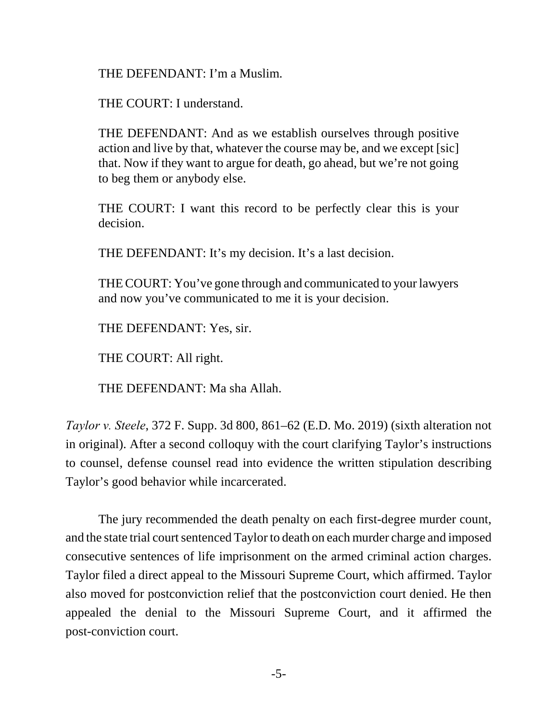THE DEFENDANT: I'm a Muslim.

THE COURT: I understand.

THE DEFENDANT: And as we establish ourselves through positive action and live by that, whatever the course may be, and we except [sic] that. Now if they want to argue for death, go ahead, but we're not going to beg them or anybody else.

THE COURT: I want this record to be perfectly clear this is your decision.

THE DEFENDANT: It's my decision. It's a last decision.

THE COURT: You've gone through and communicated to your lawyers and now you've communicated to me it is your decision.

THE DEFENDANT: Yes, sir.

THE COURT: All right.

THE DEFENDANT: Ma sha Allah.

*Taylor v. Steele*, 372 F. Supp. 3d 800, 861–62 (E.D. Mo. 2019) (sixth alteration not in original). After a second colloquy with the court clarifying Taylor's instructions to counsel, defense counsel read into evidence the written stipulation describing Taylor's good behavior while incarcerated.

The jury recommended the death penalty on each first-degree murder count, and the state trial court sentenced Taylor to death on each murder charge and imposed consecutive sentences of life imprisonment on the armed criminal action charges. Taylor filed a direct appeal to the Missouri Supreme Court, which affirmed. Taylor also moved for postconviction relief that the postconviction court denied. He then appealed the denial to the Missouri Supreme Court, and it affirmed the post-conviction court.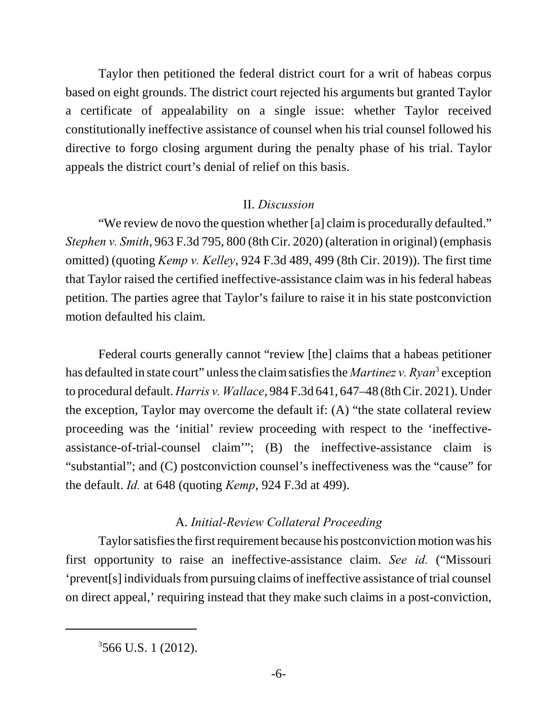Taylor then petitioned the federal district court for a writ of habeas corpus based on eight grounds. The district court rejected his arguments but granted Taylor a certificate of appealability on a single issue: whether Taylor received constitutionally ineffective assistance of counsel when his trial counsel followed his directive to forgo closing argument during the penalty phase of his trial. Taylor appeals the district court's denial of relief on this basis.

# II. *Discussion*

"We review de novo the question whether [a] claim is procedurally defaulted." *Stephen v. Smith*, 963 F.3d 795, 800 (8th Cir. 2020) (alteration in original) (emphasis omitted) (quoting *Kemp v. Kelley*, 924 F.3d 489, 499 (8th Cir. 2019)). The first time that Taylor raised the certified ineffective-assistance claim was in his federal habeas petition. The parties agree that Taylor's failure to raise it in his state postconviction motion defaulted his claim.

Federal courts generally cannot "review [the] claims that a habeas petitioner has defaulted in state court" unless the claim satisfies the *Martinez v. Ryan*<sup>3</sup> exception to procedural default. *Harris v. Wallace*, 984 F.3d 641, 647–48 (8th Cir. 2021). Under the exception, Taylor may overcome the default if: (A) "the state collateral review proceeding was the 'initial' review proceeding with respect to the 'ineffectiveassistance-of-trial-counsel claim'"; (B) the ineffective-assistance claim is "substantial"; and (C) postconviction counsel's ineffectiveness was the "cause" for the default. *Id.* at 648 (quoting *Kemp*, 924 F.3d at 499).

# A. *Initial-Review Collateral Proceeding*

Taylor satisfies the first requirement because his postconviction motion was his first opportunity to raise an ineffective-assistance claim. *See id.* ("Missouri 'prevent[s] individuals from pursuing claims of ineffective assistance of trial counsel on direct appeal,' requiring instead that they make such claims in a post-conviction,

<sup>3</sup> 566 U.S. 1 (2012).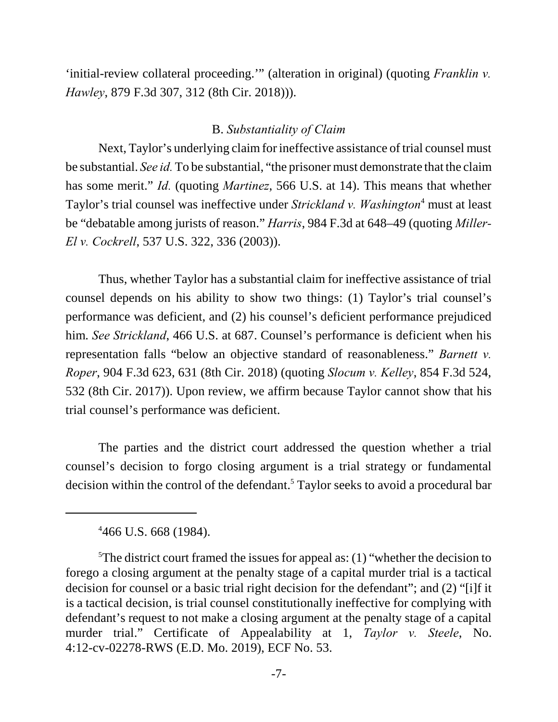'initial-review collateral proceeding.'" (alteration in original) (quoting *Franklin v. Hawley*, 879 F.3d 307, 312 (8th Cir. 2018))).

#### B. *Substantiality of Claim*

Next, Taylor's underlying claim for ineffective assistance of trial counsel must be substantial. *See id.* To be substantial, "the prisoner must demonstrate that the claim has some merit." *Id.* (quoting *Martinez*, 566 U.S. at 14). This means that whether Taylor's trial counsel was ineffective under *Strickland v. Washington*<sup>4</sup> must at least be "debatable among jurists of reason." *Harris*, 984 F.3d at 648–49 (quoting *Miller-El v. Cockrell*, 537 U.S. 322, 336 (2003)).

Thus, whether Taylor has a substantial claim for ineffective assistance of trial counsel depends on his ability to show two things: (1) Taylor's trial counsel's performance was deficient, and (2) his counsel's deficient performance prejudiced him. *See Strickland*, 466 U.S. at 687. Counsel's performance is deficient when his representation falls "below an objective standard of reasonableness." *Barnett v. Roper*, 904 F.3d 623, 631 (8th Cir. 2018) (quoting *Slocum v. Kelley*, 854 F.3d 524, 532 (8th Cir. 2017)). Upon review, we affirm because Taylor cannot show that his trial counsel's performance was deficient.

The parties and the district court addressed the question whether a trial counsel's decision to forgo closing argument is a trial strategy or fundamental decision within the control of the defendant.<sup>5</sup> Taylor seeks to avoid a procedural bar

4 466 U.S. 668 (1984).

<sup>&</sup>lt;sup>5</sup>The district court framed the issues for appeal as: (1) "whether the decision to forego a closing argument at the penalty stage of a capital murder trial is a tactical decision for counsel or a basic trial right decision for the defendant"; and (2) "[i]f it is a tactical decision, is trial counsel constitutionally ineffective for complying with defendant's request to not make a closing argument at the penalty stage of a capital murder trial." Certificate of Appealability at 1, *Taylor v. Steele*, No. 4:12-cv-02278-RWS (E.D. Mo. 2019), ECF No. 53.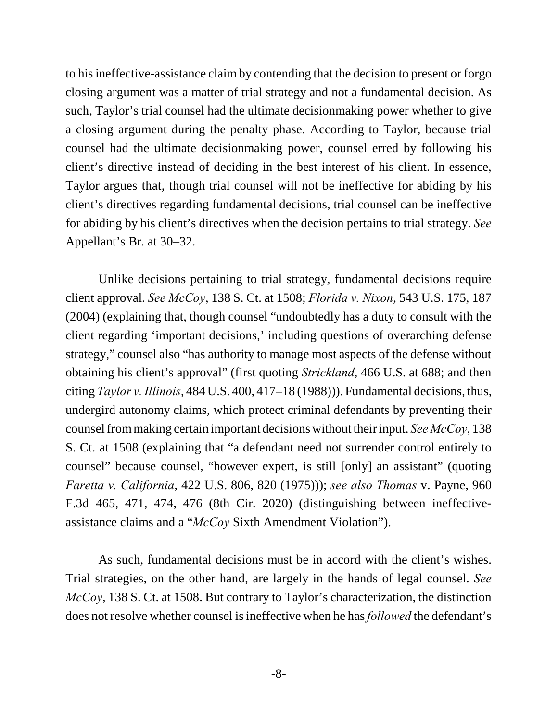to his ineffective-assistance claim by contending that the decision to present or forgo closing argument was a matter of trial strategy and not a fundamental decision. As such, Taylor's trial counsel had the ultimate decisionmaking power whether to give a closing argument during the penalty phase. According to Taylor, because trial counsel had the ultimate decisionmaking power, counsel erred by following his client's directive instead of deciding in the best interest of his client. In essence, Taylor argues that, though trial counsel will not be ineffective for abiding by his client's directives regarding fundamental decisions, trial counsel can be ineffective for abiding by his client's directives when the decision pertains to trial strategy. *See* Appellant's Br. at 30–32.

Unlike decisions pertaining to trial strategy, fundamental decisions require client approval. *See McCoy*, 138 S. Ct. at 1508; *Florida v. Nixon*, 543 U.S. 175, 187 (2004) (explaining that, though counsel "undoubtedly has a duty to consult with the client regarding 'important decisions,' including questions of overarching defense strategy," counsel also "has authority to manage most aspects of the defense without obtaining his client's approval" (first quoting *Strickland*, 466 U.S. at 688; and then citing *Taylor v. Illinois*, 484 U.S. 400, 417–18 (1988))). Fundamental decisions, thus, undergird autonomy claims, which protect criminal defendants by preventing their counsel from making certain important decisions without their input. *See McCoy*, 138 S. Ct. at 1508 (explaining that "a defendant need not surrender control entirely to counsel" because counsel, "however expert, is still [only] an assistant" (quoting *Faretta v. California*, 422 U.S. 806, 820 (1975))); *see also Thomas* v. Payne, 960 F.3d 465, 471, 474, 476 (8th Cir. 2020) (distinguishing between ineffectiveassistance claims and a "*McCoy* Sixth Amendment Violation").

As such, fundamental decisions must be in accord with the client's wishes. Trial strategies, on the other hand, are largely in the hands of legal counsel. *See McCoy*, 138 S. Ct. at 1508. But contrary to Taylor's characterization, the distinction does not resolve whether counsel is ineffective when he has *followed* the defendant's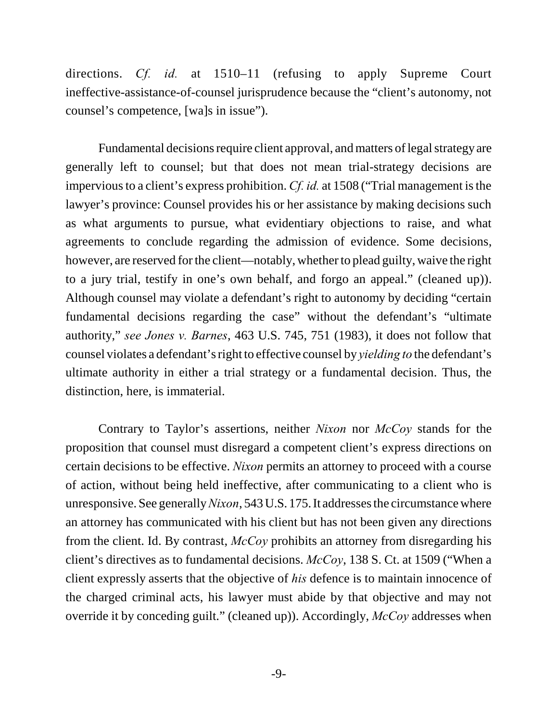directions. *Cf. id.* at 1510–11 (refusing to apply Supreme Court ineffective-assistance-of-counsel jurisprudence because the "client's autonomy, not counsel's competence, [wa]s in issue").

Fundamental decisions require client approval, and matters of legal strategy are generally left to counsel; but that does not mean trial-strategy decisions are impervious to a client's express prohibition. *Cf. id.* at 1508 ("Trial management is the lawyer's province: Counsel provides his or her assistance by making decisions such as what arguments to pursue, what evidentiary objections to raise, and what agreements to conclude regarding the admission of evidence. Some decisions, however, are reserved for the client—notably, whether to plead guilty, waive the right to a jury trial, testify in one's own behalf, and forgo an appeal." (cleaned up)). Although counsel may violate a defendant's right to autonomy by deciding "certain fundamental decisions regarding the case" without the defendant's "ultimate authority," *see Jones v. Barnes*, 463 U.S. 745, 751 (1983), it does not follow that counsel violates a defendant's right to effective counsel by *yielding to* the defendant's ultimate authority in either a trial strategy or a fundamental decision. Thus, the distinction, here, is immaterial.

Contrary to Taylor's assertions, neither *Nixon* nor *McCoy* stands for the proposition that counsel must disregard a competent client's express directions on certain decisions to be effective. *Nixon* permits an attorney to proceed with a course of action, without being held ineffective, after communicating to a client who is unresponsive. See generally *Nixon*, 543 U.S. 175. It addresses the circumstance where an attorney has communicated with his client but has not been given any directions from the client. Id. By contrast, *McCoy* prohibits an attorney from disregarding his client's directives as to fundamental decisions. *McCoy*, 138 S. Ct. at 1509 ("When a client expressly asserts that the objective of *his* defence is to maintain innocence of the charged criminal acts, his lawyer must abide by that objective and may not override it by conceding guilt." (cleaned up)). Accordingly, *McCoy* addresses when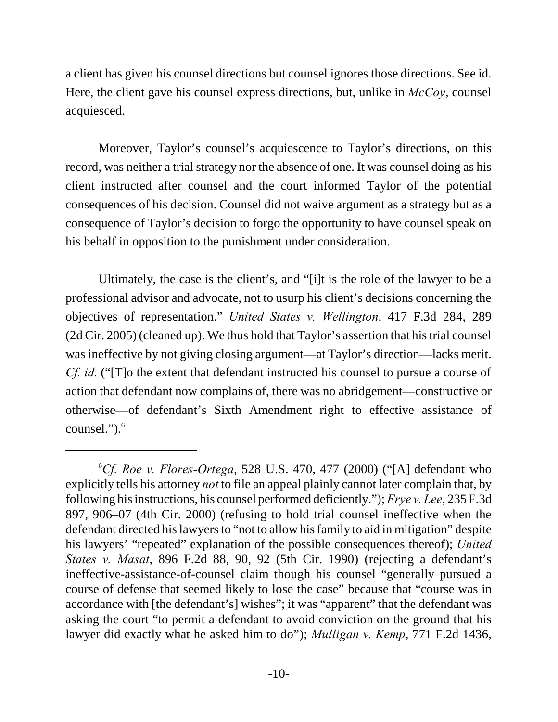a client has given his counsel directions but counsel ignores those directions. See id. Here, the client gave his counsel express directions, but, unlike in *McCoy*, counsel acquiesced.

Moreover, Taylor's counsel's acquiescence to Taylor's directions, on this record, was neither a trial strategy nor the absence of one. It was counsel doing as his client instructed after counsel and the court informed Taylor of the potential consequences of his decision. Counsel did not waive argument as a strategy but as a consequence of Taylor's decision to forgo the opportunity to have counsel speak on his behalf in opposition to the punishment under consideration.

Ultimately, the case is the client's, and "[i]t is the role of the lawyer to be a professional advisor and advocate, not to usurp his client's decisions concerning the objectives of representation." *United States v. Wellington*, 417 F.3d 284, 289 (2d Cir. 2005) (cleaned up). We thus hold that Taylor's assertion that his trial counsel was ineffective by not giving closing argument—at Taylor's direction—lacks merit. *Cf. id.* ("T]o the extent that defendant instructed his counsel to pursue a course of action that defendant now complains of, there was no abridgement—constructive or otherwise—of defendant's Sixth Amendment right to effective assistance of counsel." $)$ . $<sup>6</sup>$ </sup>

<sup>6</sup>*Cf. Roe v. Flores-Ortega*, 528 U.S. 470, 477 (2000) ("[A] defendant who explicitly tells his attorney *not* to file an appeal plainly cannot later complain that, by following his instructions, his counsel performed deficiently."); *Frye v. Lee*, 235 F.3d 897, 906–07 (4th Cir. 2000) (refusing to hold trial counsel ineffective when the defendant directed his lawyers to "not to allow his family to aid in mitigation" despite his lawyers' "repeated" explanation of the possible consequences thereof); *United States v. Masat*, 896 F.2d 88, 90, 92 (5th Cir. 1990) (rejecting a defendant's ineffective-assistance-of-counsel claim though his counsel "generally pursued a course of defense that seemed likely to lose the case" because that "course was in accordance with [the defendant's] wishes"; it was "apparent" that the defendant was asking the court "to permit a defendant to avoid conviction on the ground that his lawyer did exactly what he asked him to do"); *Mulligan v. Kemp*, 771 F.2d 1436,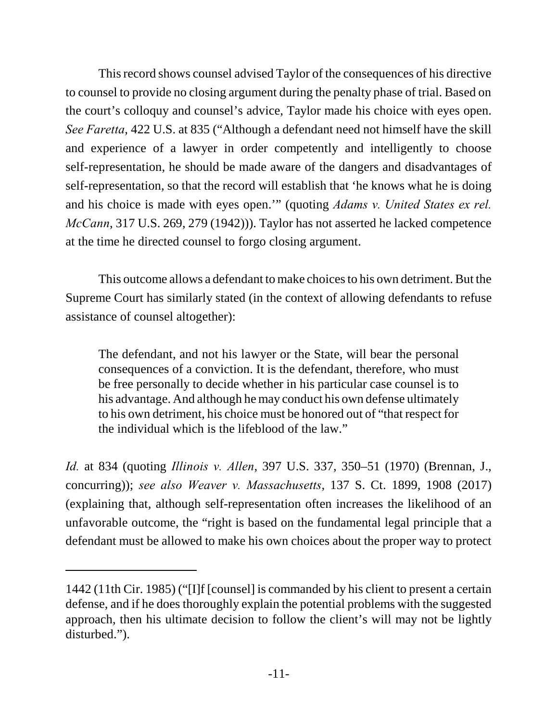This record shows counsel advised Taylor of the consequences of his directive to counsel to provide no closing argument during the penalty phase of trial. Based on the court's colloquy and counsel's advice, Taylor made his choice with eyes open. *See Faretta*, 422 U.S. at 835 ("Although a defendant need not himself have the skill and experience of a lawyer in order competently and intelligently to choose self-representation, he should be made aware of the dangers and disadvantages of self-representation, so that the record will establish that 'he knows what he is doing and his choice is made with eyes open.'" (quoting *Adams v. United States ex rel. McCann*, 317 U.S. 269, 279 (1942))). Taylor has not asserted he lacked competence at the time he directed counsel to forgo closing argument.

This outcome allows a defendant to make choices to his own detriment. But the Supreme Court has similarly stated (in the context of allowing defendants to refuse assistance of counsel altogether):

The defendant, and not his lawyer or the State, will bear the personal consequences of a conviction. It is the defendant, therefore, who must be free personally to decide whether in his particular case counsel is to his advantage. And although he may conduct his own defense ultimately to his own detriment, his choice must be honored out of "that respect for the individual which is the lifeblood of the law."

*Id.* at 834 (quoting *Illinois v. Allen*, 397 U.S. 337, 350–51 (1970) (Brennan, J., concurring)); *see also Weaver v. Massachusetts*, 137 S. Ct. 1899, 1908 (2017) (explaining that, although self-representation often increases the likelihood of an unfavorable outcome, the "right is based on the fundamental legal principle that a defendant must be allowed to make his own choices about the proper way to protect

<sup>1442 (11</sup>th Cir. 1985) ("[I]f [counsel] is commanded by his client to present a certain defense, and if he does thoroughly explain the potential problems with the suggested approach, then his ultimate decision to follow the client's will may not be lightly disturbed.").